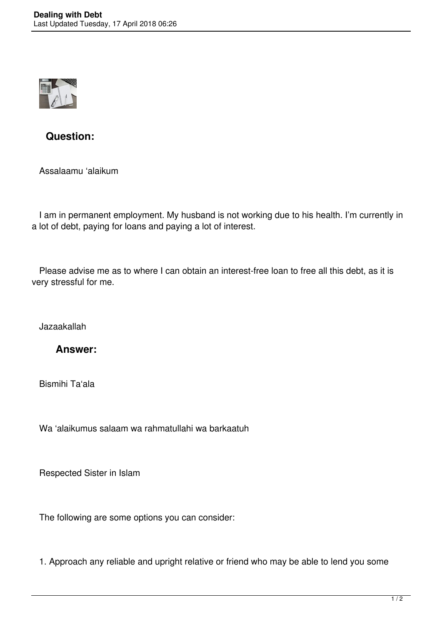

## **Question:**

Assalaamu 'alaikum

 I am in permanent employment. My husband is not working due to his health. I'm currently in a lot of debt, paying for loans and paying a lot of interest.

 Please advise me as to where I can obtain an interest-free loan to free all this debt, as it is very stressful for me.

Jazaakallah

## **Answer:**

Bismihi Ta'ala

Wa 'alaikumus salaam wa rahmatullahi wa barkaatuh

Respected Sister in Islam

The following are some options you can consider:

1. Approach any reliable and upright relative or friend who may be able to lend you some